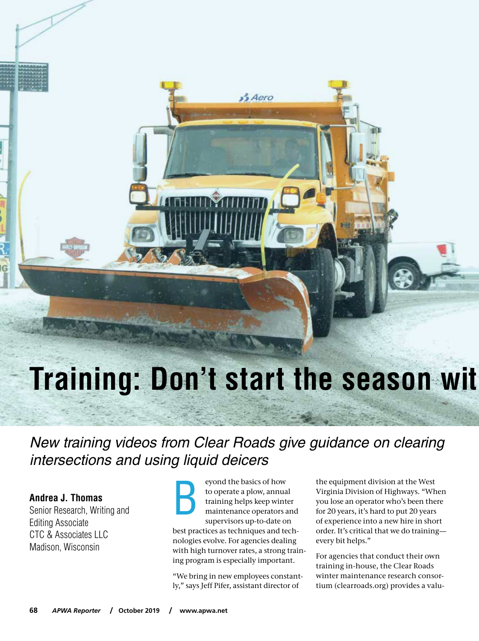# **Training: Don't start the season with the season with the season with the season with the season with the season with the season with the season with the season with the season with the season with the season with the sea**

 $\frac{3}{2}$ Aero

New training videos from Clear Roads give guidance on clearing intersections and using liquid deicers

**Andrea J. Thomas** Senior Research, Writing and Editing Associate CTC & Associates LLC Madison, Wisconsin

eyond the basics of how to operate a plow, annual training helps keep winter maintenance operators and supervisors up-to-date on best practices as techniques and technologies evolve. For agencies dealing with high turnover rates, a strong training program is especially important. B

"We bring in new employees constantly," says Jeff Pifer, assistant director of

the equipment division at the West Virginia Division of Highways. "When you lose an operator who's been there for 20 years, it's hard to put 20 years of experience into a new hire in short order. It's critical that we do training every bit helps."

For agencies that conduct their own training in-house, the Clear Roads winter maintenance research consortium (clearroads.org) provides a valu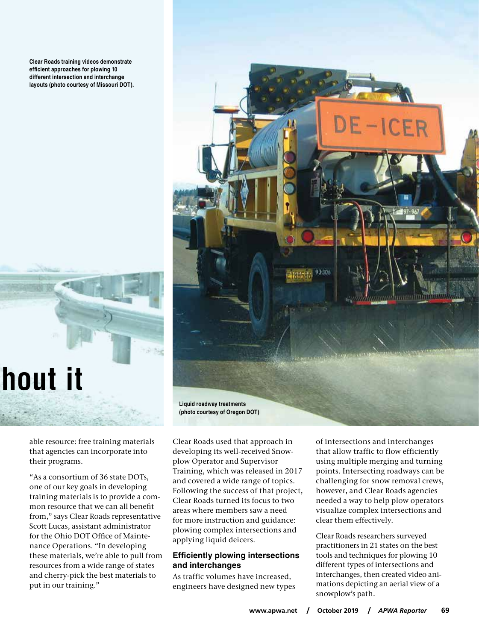**Clear Roads training videos demonstrate efficient approaches for plowing 10 different intersection and interchange layouts (photo courtesy of Missouri DOT).**



able resource: free training materials that agencies can incorporate into their programs.

"As a consortium of 36 state DOTs, one of our key goals in developing training materials is to provide a common resource that we can all benefit from," says Clear Roads representative Scott Lucas, assistant administrator for the Ohio DOT Office of Maintenance Operations. "In developing these materials, we're able to pull from resources from a wide range of states and cherry-pick the best materials to put in our training."



Clear Roads used that approach in developing its well-received Snowplow Operator and Supervisor Training, which was released in 2017 and covered a wide range of topics. Following the success of that project, Clear Roads turned its focus to two areas where members saw a need for more instruction and guidance: plowing complex intersections and applying liquid deicers.

### **Efficiently plowing intersections and interchanges**

As traffic volumes have increased, engineers have designed new types of intersections and interchanges that allow traffic to flow efficiently using multiple merging and turning points. Intersecting roadways can be challenging for snow removal crews, however, and Clear Roads agencies needed a way to help plow operators visualize complex intersections and clear them effectively.

Clear Roads researchers surveyed practitioners in 21 states on the best tools and techniques for plowing 10 different types of intersections and interchanges, then created video animations depicting an aerial view of a snowplow's path.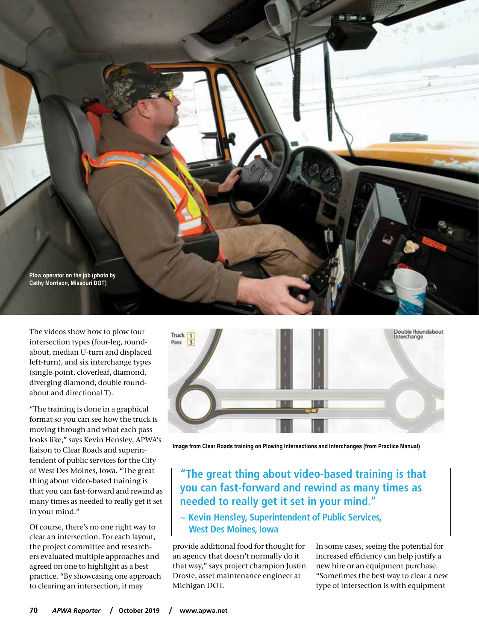

The videos show how to plow four intersection types (four-leg, roundabout, median U-turn and displaced left-turn), and six interchange types (single-point, cloverleaf, diamond, diverging diamond, double roundabout and directional T).

"The training is done in a graphical format so you can see how the truck is moving through and what each pass looks like," says Kevin Hensley, APWA's liaison to Clear Roads and superintendent of public services for the City of West Des Moines, Iowa. "The great thing about video-based training is that you can fast-forward and rewind as many times as needed to really get it set in your mind."

Of course, there's no one right way to clear an intersection. For each layout, the project committee and researchers evaluated multiple approaches and agreed on one to highlight as a best practice. "By showcasing one approach to clearing an intersection, it may



**Image from Clear Roads training on Plowing Intersections and Interchanges (from Practice Manual)**

# **"The great thing about video-based training is that you can fast-forward and rewind as many times as needed to really get it set in your mind."**

**~ Kevin Hensley, Superintendent of Public Services, West Des Moines, Iowa**

provide additional food for thought for an agency that doesn't normally do it that way," says project champion Justin Droste, asset maintenance engineer at Michigan DOT.

In some cases, seeing the potential for increased efficiency can help justify a new hire or an equipment purchase. "Sometimes the best way to clear a new type of intersection is with equipment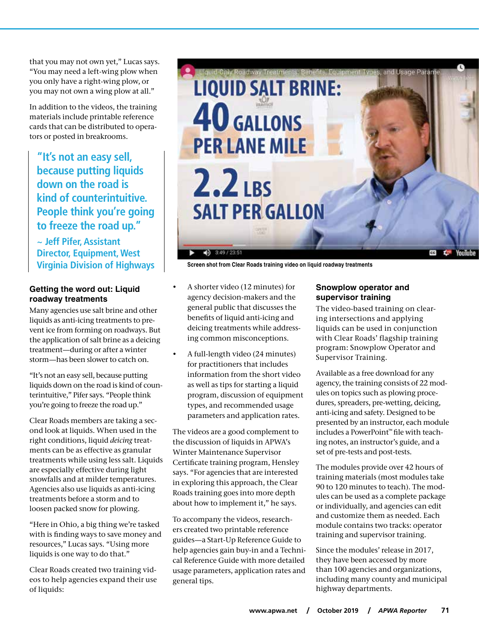that you may not own yet," Lucas says. "You may need a left-wing plow when you only have a right-wing plow, or you may not own a wing plow at all."

In addition to the videos, the training materials include printable reference cards that can be distributed to operators or posted in breakrooms.

**"It's not an easy sell, because putting liquids down on the road is kind of counterintuitive. People think you're going to freeze the road up."**

## **~ Jeff Pifer, Assistant Director, Equipment, West Virginia Division of Highways**

### **Getting the word out: Liquid roadway treatments**

Many agencies use salt brine and other liquids as anti-icing treatments to prevent ice from forming on roadways. But the application of salt brine as a deicing treatment—during or after a winter storm—has been slower to catch on.

"It's not an easy sell, because putting liquids down on the road is kind of counterintuitive," Pifer says. "People think you're going to freeze the road up."

Clear Roads members are taking a second look at liquids. When used in the right conditions, liquid *deicing* treatments can be as effective as granular treatments while using less salt. Liquids are especially effective during light snowfalls and at milder temperatures. Agencies also use liquids as anti-icing treatments before a storm and to loosen packed snow for plowing.

"Here in Ohio, a big thing we're tasked with is finding ways to save money and resources," Lucas says. "Using more liquids is one way to do that."

Clear Roads created two training videos to help agencies expand their use of liquids:



**Screen shot from Clear Roads training video on liquid roadway treatments**

- A shorter video (12 minutes) for agency decision-makers and the general public that discusses the benefits of liquid anti-icing and deicing treatments while addressing common misconceptions.
- A full-length video (24 minutes) for practitioners that includes information from the short video as well as tips for starting a liquid program, discussion of equipment types, and recommended usage parameters and application rates.

The videos are a good complement to the discussion of liquids in APWA's Winter Maintenance Supervisor Certificate training program, Hensley says. "For agencies that are interested in exploring this approach, the Clear Roads training goes into more depth about how to implement it," he says.

To accompany the videos, researchers created two printable reference guides—a Start-Up Reference Guide to help agencies gain buy-in and a Technical Reference Guide with more detailed usage parameters, application rates and general tips.

#### **Snowplow operator and supervisor training**

The video-based training on clearing intersections and applying liquids can be used in conjunction with Clear Roads' flagship training program: Snowplow Operator and Supervisor Training.

Available as a free download for any agency, the training consists of 22 modules on topics such as plowing procedures, spreaders, pre-wetting, deicing, anti-icing and safety. Designed to be presented by an instructor, each module includes a PowerPoint™ file with teaching notes, an instructor's guide, and a set of pre-tests and post-tests.

The modules provide over 42 hours of training materials (most modules take 90 to 120 minutes to teach). The modules can be used as a complete package or individually, and agencies can edit and customize them as needed. Each module contains two tracks: operator training and supervisor training.

Since the modules' release in 2017, they have been accessed by more than 100 agencies and organizations, including many county and municipal highway departments.